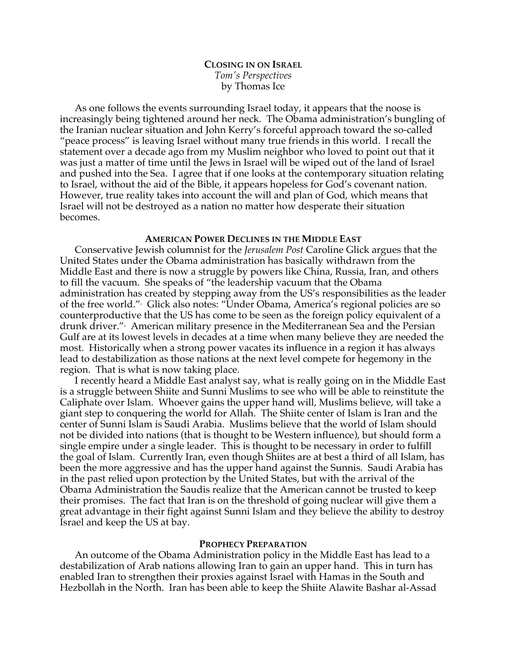# **CLOSING IN ON ISRAEL** *Tom's Perspectives* by Thomas Ice

As one follows the events surrounding Israel today, it appears that the noose is increasingly being tightened around her neck. The Obama administration's bungling of the Iranian nuclear situation and John Kerry's forceful approach toward the so-called "peace process" is leaving Israel without many true friends in this world. I recall the statement over a decade ago from my Muslim neighbor who loved to point out that it was just a matter of time until the Jews in Israel will be wiped out of the land of Israel and pushed into the Sea. I agree that if one looks at the contemporary situation relating to Israel, without the aid of the Bible, it appears hopeless for God's covenant nation. However, true reality takes into account the will and plan of God, which means that Israel will not be destroyed as a nation no matter how desperate their situation becomes.

# **AMERICAN POWER DECLINES IN THE MIDDLE EAST**

Conservative Jewish columnist for the *Jerusalem Post* Caroline Glick argues that the United States under the Obama administration has basically withdrawn from the Middle East and there is now a struggle by powers like China, Russia, Iran, and others to fill the vacuum. She speaks of "the leadership vacuum that the Obama administration has created by stepping away from the US's responsibilities as the leader of the free world."1 Glick also notes: "Under Obama, America's regional policies are so counterproductive that the US has come to be seen as the foreign policy equivalent of a drunk driver."<sup>,</sup> American military presence in the Mediterranean Sea and the Persian Gulf are at its lowest levels in decades at a time when many believe they are needed the most. Historically when a strong power vacates its influence in a region it has always lead to destabilization as those nations at the next level compete for hegemony in the region. That is what is now taking place.

I recently heard a Middle East analyst say, what is really going on in the Middle East is a struggle between Shiite and Sunni Muslims to see who will be able to reinstitute the Caliphate over Islam. Whoever gains the upper hand will, Muslims believe, will take a giant step to conquering the world for Allah. The Shiite center of Islam is Iran and the center of Sunni Islam is Saudi Arabia. Muslims believe that the world of Islam should not be divided into nations (that is thought to be Western influence), but should form a single empire under a single leader. This is thought to be necessary in order to fulfill the goal of Islam. Currently Iran, even though Shiites are at best a third of all Islam, has been the more aggressive and has the upper hand against the Sunnis. Saudi Arabia has in the past relied upon protection by the United States, but with the arrival of the Obama Administration the Saudis realize that the American cannot be trusted to keep their promises. The fact that Iran is on the threshold of going nuclear will give them a great advantage in their fight against Sunni Islam and they believe the ability to destroy Israel and keep the US at bay.

# **PROPHECY PREPARATION**

An outcome of the Obama Administration policy in the Middle East has lead to a destabilization of Arab nations allowing Iran to gain an upper hand. This in turn has enabled Iran to strengthen their proxies against Israel with Hamas in the South and Hezbollah in the North. Iran has been able to keep the Shiite Alawite Bashar al-Assad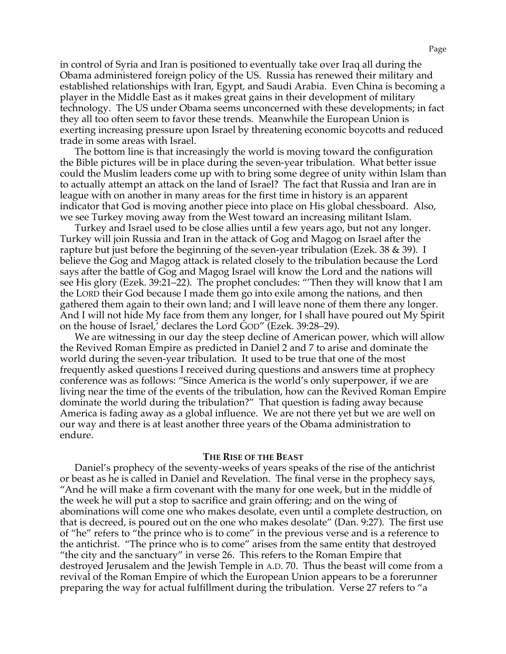in control of Syria and Iran is positioned to eventually take over Iraq all during the Obama administered foreign policy of the US. Russia has renewed their military and established relationships with Iran, Egypt, and Saudi Arabia. Even China is becoming a player in the Middle East as it makes great gains in their development of military technology. The US under Obama seems unconcerned with these developments; in fact they all too often seem to favor these trends. Meanwhile the European Union is exerting increasing pressure upon Israel by threatening economic boycotts and reduced trade in some areas with Israel.

The bottom line is that increasingly the world is moving toward the configuration the Bible pictures will be in place during the seven-year tribulation. What better issue could the Muslim leaders come up with to bring some degree of unity within Islam than to actually attempt an attack on the land of Israel? The fact that Russia and Iran are in league with on another in many areas for the first time in history is an apparent indicator that God is moving another piece into place on His global chessboard. Also, we see Turkey moving away from the West toward an increasing militant Islam.

Turkey and Israel used to be close allies until a few years ago, but not any longer. Turkey will join Russia and Iran in the attack of Gog and Magog on Israel after the rapture but just before the beginning of the seven-year tribulation (Ezek. 38 & 39). I believe the Gog and Magog attack is related closely to the tribulation because the Lord says after the battle of Gog and Magog Israel will know the Lord and the nations will see His glory (Ezek. 39:21–22). The prophet concludes: "'Then they will know that I am the LORD their God because I made them go into exile among the nations, and then gathered them again to their own land; and I will leave none of them there any longer. And I will not hide My face from them any longer, for I shall have poured out My Spirit on the house of Israel,' declares the Lord GOD" (Ezek. 39:28–29).

We are witnessing in our day the steep decline of American power, which will allow the Revived Roman Empire as predicted in Daniel 2 and 7 to arise and dominate the world during the seven-year tribulation. It used to be true that one of the most frequently asked questions I received during questions and answers time at prophecy conference was as follows: "Since America is the world's only superpower, if we are living near the time of the events of the tribulation, how can the Revived Roman Empire dominate the world during the tribulation?" That question is fading away because America is fading away as a global influence. We are not there yet but we are well on our way and there is at least another three years of the Obama administration to endure.

#### **THE RISE OF THE BEAST**

Daniel's prophecy of the seventy-weeks of years speaks of the rise of the antichrist or beast as he is called in Daniel and Revelation. The final verse in the prophecy says, "And he will make a firm covenant with the many for one week, but in the middle of the week he will put a stop to sacrifice and grain offering; and on the wing of abominations will come one who makes desolate, even until a complete destruction, on that is decreed, is poured out on the one who makes desolate" (Dan. 9:27). The first use of "he" refers to "the prince who is to come" in the previous verse and is a reference to the antichrist. "The prince who is to come" arises from the same entity that destroyed "the city and the sanctuary" in verse 26. This refers to the Roman Empire that destroyed Jerusalem and the Jewish Temple in A.D. 70. Thus the beast will come from a revival of the Roman Empire of which the European Union appears to be a forerunner preparing the way for actual fulfillment during the tribulation. Verse 27 refers to "a